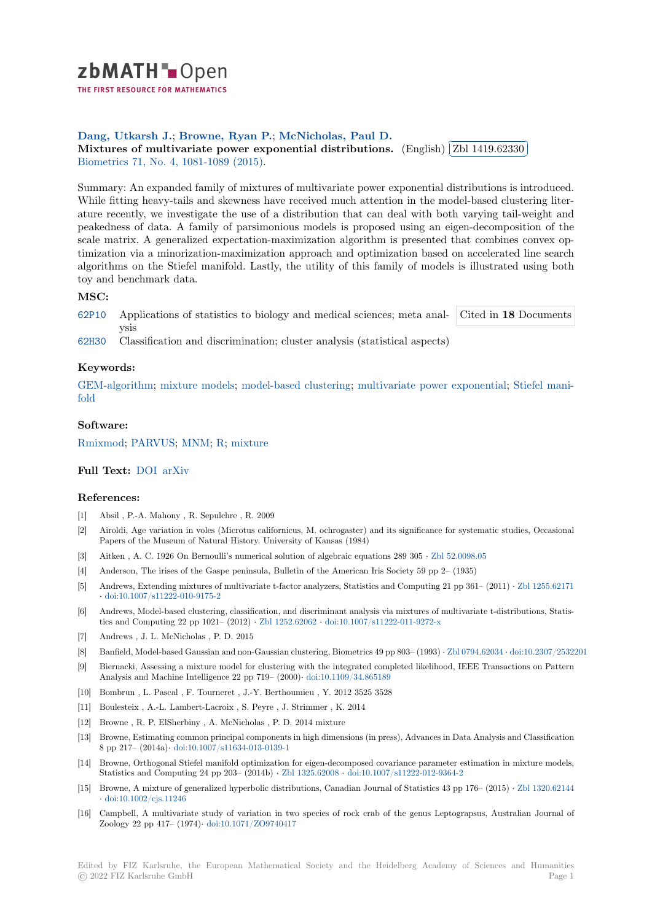

THE FIRST RESOURCE FOR MATHEMATICS

# **Dang, Utkarsh J.**; **Browne, Ryan P.**; **McNicholas, Paul D.**

Dang, Utkarsh J.; Browne, Kyan F.; [M](https://zbmath.org/)cNicholas, Faul D.<br>Mixtures of multivariate power exponential distributions. (English) ✂ Zbl 1419.62330 i. ✁ Biometrics 71, No. 4, 1081-1089 (2015).

[Summary: An expan](https://zbmath.org/authors/?q=ai:dang.utkarsh-j)[ded family of mixture](https://zbmath.org/authors/?q=ai:browne.ryan-p)[s of multivariate power e](https://zbmath.org/authors/?q=ai:mcnicholas.paul-d)xponential distributions is introduced. [While fitting heavy-tails and skewness have received much attentio](https://zbmath.org/1419.62330)n in the m[odel-based cluster](https://zbmath.org/1419.62330)ing liter[ature recen](https://zbmath.org/journals/?q=se:352)[tly, we investigate the use o](https://zbmath.org/?q=in:351879)f a distribution that can deal with both varying tail-weight and peakedness of data. A family of parsimonious models is proposed using an eigen-decomposition of the scale matrix. A generalized expectation-maximization algorithm is presented that combines convex optimization via a minorization-maximization approach and optimization based on accelerated line search algorithms on the Stiefel manifold. Lastly, the utility of this family of models is illustrated using both toy and benchmark data.

## **MSC:**

62P10 Applications of statistics to biology and medical sciences; meta analysis Cited in **18** Documents

62H30 Classification and discrimination; cluster analysis (statistical aspects)

### **[Keyw](https://zbmath.org/classification/?q=cc:62P10)ords:**

GEM-algorithm; mixture models; model-based clustering; multivariate power exponential; Stiefel mani[fold](https://zbmath.org/classification/?q=cc:62H30)

#### **Software:**

[Rmixmod;](https://zbmath.org/?q=ut:GEM-algorithm) PARVUS; [MNM;](https://zbmath.org/?q=ut:mixture+models) R; m[ixture](https://zbmath.org/?q=ut:model-based+clustering)

## **Full Text:** DOI arXiv

#### **[Referenc](https://swmath.org/software/13560)[es:](https://swmath.org/software/8070)**

- [1] Absil , P.-A. Mahony , R. Sepulchre , R. 2009
- [2] Airoldi, [Age va](https://dx.doi.org/10.1111/biom.12351)r[iation in](https://arxiv.org/abs/1506.04137) voles (Microtus californicus, M. ochrogaster) and its significance for systematic studies, Occasional Papers of the Museum of Natural History. University of Kansas (1984)
- [3] Aitken , A. C. 1926 On Bernoulli's numerical solution of algebraic equations 289 305 *·* Zbl 52.0098.05
- [4] Anderson, The irises of the Gaspe peninsula, Bulletin of the American Iris Society 59 pp 2– (1935)
- [5] Andrews, Extending mixtures of multivariate t-factor analyzers, Statistics and Computing 21 pp 361– (2011) *·* Zbl 1255.62171 *·* doi:10.1007/s11222-010-9175-2
- [6] Andrews, Model-based clustering, classification, and discriminant analysis via mixtures [of multivariate](https://zbmath.org/52.0098.05) t-distributions, Statistics and Computing 22 pp 1021– (2012) *·* Zbl 1252.62062 *·* doi:10.1007/s11222-011-9272-x
- [7] Andrews , J. L. McNicholas , P. D. 2015
- [8] [Banfield, Model-based Gaussian](https://dx.doi.org/10.1007/s11222-010-9175-2) and non-Gaussian clustering, Biometrics 49 pp 803– (1993) *·* Zbl 0794.62034 *·* doi:10.2307/2532201
- [9] Biernacki, Assessing a mixture model for clustering with the integrated completed likelihood, IEEE Transactions on Pattern Analysis and Machine Intelligence 22 pp [719– \(2000\)](https://zbmath.org/1252.62062)*·* doi:1[0.1109/34.865189](https://dx.doi.org/10.1007/s11222-011-9272-x)
- [10] Bombrun , L. Pascal , F. Tourneret , J.-Y. Berthoumieu , Y. 2012 3525 3528
- [11] Boulesteix , A.-L. Lambert-Lacroix , S. Peyre , J. Strimmer , K. 2014
- [12] Browne , R. P. ElSherbiny , A. McNicholas , P. D. 2014 mixture
- [13] Browne, Estimating common principal components in [high dimensions \(in pres](https://dx.doi.org/10.1109/34.865189)s), Advances in Data Analysis and Classification 8 pp 217– (2014a)*·* doi:10.1007/s11634-013-0139-1
- [14] Browne, Orthogonal Stiefel manifold optimization for eigen-decomposed covariance parameter estimation in mixture models, Statistics and Computing 24 pp 203– (2014b) *·* Zbl 1325.62008 *·* doi:10.1007/s11222-012-9364-2
- [15] Browne, A mixture of generalized hyperbolic distributions, Canadian Journal of Statistics 43 pp 176– (2015) *·* Zbl 1320.62144 *·* doi:10.1002/cjs.11[246](https://dx.doi.org/10.1007/s11634-013-0139-1)
- [16] Campbell, A multivariate study of variation in two species of rock crab of the genus Leptograpsus, Australian Journal of Zoology 22 pp 417– (1974)*·* doi:10.1071/ZO974[0417](https://zbmath.org/1325.62008)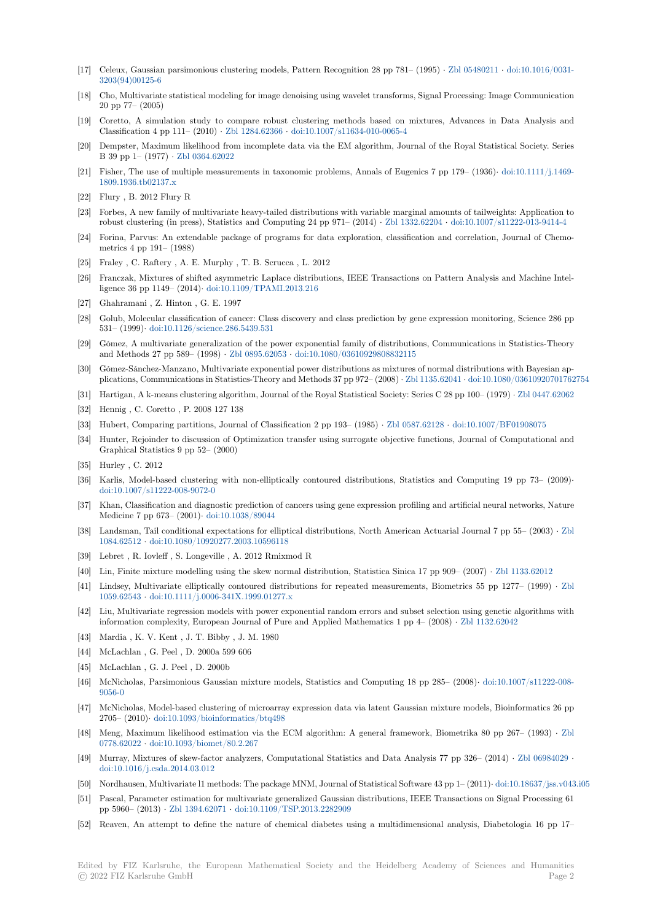- [17] Celeux, Gaussian parsimonious clustering models, Pattern Recognition 28 pp 781– (1995) *·* Zbl 05480211 *·* doi:10.1016/0031- 3203(94)00125-6
- [18] Cho, Multivariate statistical modeling for image denoising using wavelet transforms, Signal Processing: Image Communication 20 pp 77– (2005)
- [19] Coretto, A simulation study to compare robust clustering methods based on mixtures, [Advances in](https://zbmath.org/05480211) [Data Analysis and](https://dx.doi.org/10.1016/0031-3203(94)00125-6) [Classification 4 p](https://dx.doi.org/10.1016/0031-3203(94)00125-6)p 111– (2010) *·* Zbl 1284.62366 *·* doi:10.1007/s11634-010-0065-4
- [20] Dempster, Maximum likelihood from incomplete data via the EM algorithm, Journal of the Royal Statistical Society. Series B 39 pp 1– (1977) *·* Zbl 0364.62022
- [21] Fisher, The use of multiple measurements in taxonomic problems, Annals of Eugenics 7 pp 179– (1936)*·* doi:10.1111/j.1469- 1809.1936.tb02137.x
- [22] Flury , B. 2012 Flury R
- [23] Forbes, A new famil[y of multivariat](https://zbmath.org/0364.62022)e heavy-tailed distributions with variable marginal amounts of tailweights: Application to robust clustering (in press), Statistics and Computing 24 pp 971– (2014) *·* Zbl 1332.62204 *·* doi:10.1007/s[11222-013-9414-4](https://dx.doi.org/10.1111/j.1469-1809.1936.tb02137.x)
- [24] [Forina, Parvus: An](https://dx.doi.org/10.1111/j.1469-1809.1936.tb02137.x) extendable package of programs for data exploration, classification and correlation, Journal of Chemometrics 4 pp 191– (1988)
- [25] Fraley , C. Raftery , A. E. Murphy , T. B. Scrucca , L. 2012
- [26] Franczak, Mixtures of shifted asymmetric Laplace distributions, IEEE Tra[nsactions on Pa](https://zbmath.org/1332.62204)t[tern Analysis and Machine Inte](https://dx.doi.org/10.1007/s11222-013-9414-4)lligence 36 pp 1149– (2014)*·* doi:10.1109/TPAMI.2013.216
- [27] Ghahramani , Z. Hinton , G. E. 1997
- [28] Golub, Molecular classification of cancer: Class discovery and class prediction by gene expression monitoring, Science 286 pp 531– (1999)*·* doi:10.1126/science.286.5439.531
- [29] Gómez, A multivariate gene[ralization of the power expone](https://dx.doi.org/10.1109/TPAMI.2013.216)ntial family of distributions, Communications in Statistics-Theory and Methods 27 pp 589– (1998) *·* Zbl 0895.62053 *·* doi:10.1080/03610929808832115
- [30] Gómez-Sánchez-Manzano, Multivariate exponential power distributions as mixtures of normal distributions with Bayesian applications, C[ommunications in Statistics-Theor](https://dx.doi.org/10.1126/science.286.5439.531)y and Methods 37 pp 972– (2008) *·* Zbl 1135.62041 *·* doi:10.1080/03610920701762754
- [31] Hartigan, A k-means clustering algorithm, Journal of the Royal Statistical Society: Series C 28 pp 100– (1979) *·* Zbl 0447.62062
- [32] Hennig , C. Coretto , P. 2008 127 [138](https://zbmath.org/0895.62053)
- [33] Hubert, Comparing partitions, Journal of Classification 2 pp 193– (1985) *·* Zbl 0587.62128 *·* doi:10.1007/BF01908075
- [34] Hunter, Rejoinder to discussion of Optimization transfer using surrogate object[ive functions, J](https://zbmath.org/1135.62041)o[urnal of Computational and](https://dx.doi.org/10.1080/03610920701762754) Graphical Statistics 9 pp 52– (2000)
- [35] Hurley , C. 2012
- [36] Karlis, Model-based clustering with non-elliptically contoured distributio[ns, Statistics an](https://zbmath.org/0587.62128)[d Computing 19 pp 73–](https://dx.doi.org/10.1007/BF01908075) (2009)*·* doi:10.1007/s11222-008-9072-0
- [37] Khan, Classification and diagnostic prediction of cancers using gene expression profiling and artificial neural networks, Nature Medicine 7 pp 673– (2001)*·* doi:10.1038/89044
- [38] Landsman, Tail conditional expectations for elliptical distributions, North American Actuarial Journal 7 pp 55– (2003) *·* Zbl 1084.62512 *·* [doi:10.1080/10920](https://dx.doi.org/10.1007/s11222-008-9072-0)277.2003.10596118
- [39] Lebret , R. Iovleff , S. Longeville , A. 2012 Rmixmod R
- [40] Lin, Finite mixture modelli[ng using the skew n](https://dx.doi.org/10.1038/89044)ormal distribution, Statistica Sinica 17 pp 909– (2007) *·* Zbl 1133.62012
- [41] Lindsey, Multivariate elliptically contoured distributions for repeated measurements, Biometrics 55 pp 1277– (1999) *·* [Zbl](https://zbmath.org/1084.62512) [1059.62543](https://zbmath.org/1084.62512) *·* [doi:10.1111/j.0006-341X.1999.01277.x](https://dx.doi.org/10.1080/10920277.2003.10596118)
- [42] Liu, Multivariate regression models with power exponential random errors and subset selection using genetic algorithms with information complexity, European Journal of Pure and Applied Mathematics 1 pp 4– (2008) *·* Zbl 1132[.62042](https://zbmath.org/1133.62012)
- [43] Mardia , K. V. Kent , J. T. Bibby , J. M. 1980
- [44] [McLachlan](https://zbmath.org/1059.62543), [G. Peel , D. 2000a 599 606](https://dx.doi.org/10.1111/j.0006-341X.1999.01277.x)
- [45] McLachlan , G. J. Peel , D. 2000b
- [46] McNicholas, Parsimonious Gaussian mixture models, Statistics and Computing 18 pp 285– (2008)*·* [doi:10.100](https://zbmath.org/1132.62042)7/s11222-008- 9056-0
- [47] McNicholas, Model-based clustering of microarray expression data via latent Gaussian mixture models, Bioinformatics 26 pp 2705– (2010)*·* doi:10.1093/bioinformatics/btq498
- [48] Meng, Maximum likelihood estimation via the ECM algorithm: A general framework, Biometrika [80 pp 267– \(1993\)](https://dx.doi.org/10.1007/s11222-008-9056-0) *·* Zbl [0778.62](https://dx.doi.org/10.1007/s11222-008-9056-0)022 *·* doi:10.1093/biomet/80.2.267
- [49] Murray, Mixtures of skew-factor analyzers, Computational Statistics and Data Analysis 77 pp 326– (2014) *·* Zbl 06984029 *·* doi:10.1016/j.[csda.2014.03.012](https://dx.doi.org/10.1093/bioinformatics/btq498)
- [50] Nordhausen, Multivariate l1 methods: The package MNM, Journal of Statistical Software 43 pp 1– (2011)*·* doi:10.18637/jss.[v043](https://zbmath.org/0778.62022).i05
- [51] [Pascal, Par](https://zbmath.org/0778.62022)a[meter estimation for multivar](https://dx.doi.org/10.1093/biomet/80.2.267)iate generalized Gaussian distributions, IEEE Transactions on Signal Processing 61 pp 5960– (2013) *·* Zbl 1394.62071 *·* doi:10.1109/TSP.2013.2282909
- [52] [Reaven, An attempt to define](https://dx.doi.org/10.1016/j.csda.2014.03.012) the nature of chemical diabetes using a multidimensional analysis, Diabetologia 16 pp 17–